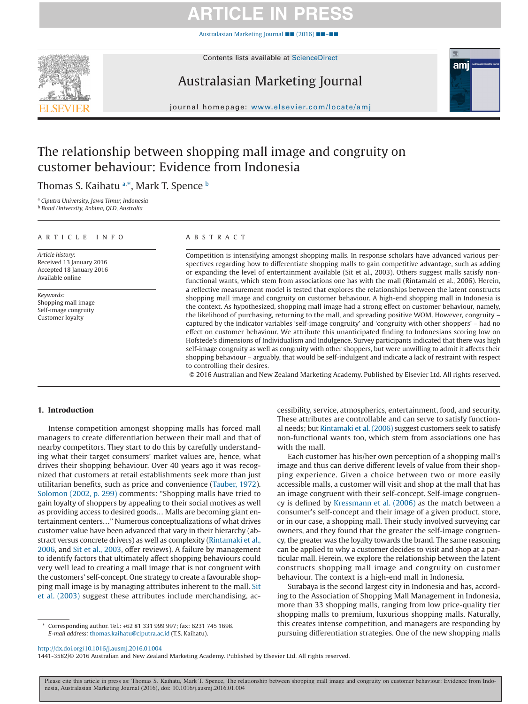## **ARTICLE IN PR**

Australasian Marketing Journal ■■ (2016) ■■–■■



Contents lists available at [ScienceDirect](http://www.sciencedirect.com/science/journal/14413582)

## Australasian Marketing Journal



journal homepage: [www.elsevier.com/locate/amj](http://www.elsevier.com/locate/AMJ)

### The relationship between shopping mall image and congruity on customer behaviour: Evidence from Indonesia

#### Thomas S. Kaihatu <sup>[a,](#page-0-0)</sup>[\\*,](#page-0-1) Mark T. Spence <sup>[b](#page-0-2)</sup>

<span id="page-0-2"></span><span id="page-0-0"></span><sup>a</sup> *Ciputra University, Jawa Timur, Indonesia* <sup>b</sup> *Bond University, Robina, QLD, Australia*

#### ARTICLE INFO

*Article history:* Received 13 January 2016 Accepted 18 January 2016 Available online

*Keywords:* Shopping mall image Self-image congruity Customer loyalty

#### ABSTRACT

Competition is intensifying amongst shopping malls. In response scholars have advanced various perspectives regarding how to differentiate shopping malls to gain competitive advantage, such as adding or expanding the level of entertainment available (Sit et al., 2003). Others suggest malls satisfy nonfunctional wants, which stem from associations one has with the mall (Rintamaki et al., 2006). Herein, a reflective measurement model is tested that explores the relationships between the latent constructs shopping mall image and congruity on customer behaviour. A high-end shopping mall in Indonesia is the context. As hypothesized, shopping mall image had a strong effect on customer behaviour, namely, the likelihood of purchasing, returning to the mall, and spreading positive WOM. However, congruity – captured by the indicator variables 'self-image congruity' and 'congruity with other shoppers' – had no effect on customer behaviour. We attribute this unanticipated finding to Indonesians scoring low on Hofstede's dimensions of Individualism and Indulgence. Survey participants indicated that there was high self-image congruity as well as congruity with other shoppers, but were unwilling to admit it affects their shopping behaviour – arguably, that would be self-indulgent and indicate a lack of restraint with respect to controlling their desires.

© 2016 Australian and New Zealand Marketing Academy. Published by Elsevier Ltd. All rights reserved.

#### **1. Introduction**

Intense competition amongst shopping malls has forced mall managers to create differentiation between their mall and that of nearby competitors. They start to do this by carefully understanding what their target consumers' market values are, hence, what drives their shopping behaviour. Over 40 years ago it was recognized that customers at retail establishments seek more than just utilitarian benefits, such as price and convenience [\(Tauber, 1972\)](#page-3-0). [Solomon \(2002, p. 299\)](#page-3-1) comments: "Shopping malls have tried to gain loyalty of shoppers by appealing to their social motives as well as providing access to desired goods… Malls are becoming giant entertainment centers…" Numerous conceptualizations of what drives customer value have been advanced that vary in their hierarchy (abstract versus concrete drivers) as well as complexity [\(Rintamaki et al.,](#page-3-2) [2006,](#page-3-2) and [Sit et al., 2003,](#page-3-3) offer reviews). A failure by management to identify factors that ultimately affect shopping behaviours could very well lead to creating a mall image that is not congruent with the customers' self-concept. One strategy to create a favourable shopping mall image is by managing attributes inherent to the mall. [Sit](#page-3-3) [et al. \(2003\)](#page-3-3) suggest these attributes include merchandising, ac-

cessibility, service, atmospherics, entertainment, food, and security. These attributes are controllable and can serve to satisfy functional needs; but [Rintamaki et al. \(2006\)](#page-3-2) suggest customers seek to satisfy non-functional wants too, which stem from associations one has with the mall.

Each customer has his/her own perception of a shopping mall's image and thus can derive different levels of value from their shopping experience. Given a choice between two or more easily accessible malls, a customer will visit and shop at the mall that has an image congruent with their self-concept. Self-image congruency is defined by [Kressmann et al. \(2006\)](#page-3-4) as the match between a consumer's self-concept and their image of a given product, store, or in our case, a shopping mall. Their study involved surveying car owners, and they found that the greater the self-image congruency, the greater was the loyalty towards the brand. The same reasoning can be applied to why a customer decides to visit and shop at a particular mall. Herein, we explore the relationship between the latent constructs shopping mall image and congruity on customer behaviour. The context is a high-end mall in Indonesia.

Surabaya is the second largest city in Indonesia and has, according to the Association of Shopping Mall Management in Indonesia, more than 33 shopping malls, ranging from low price-quality tier shopping malls to premium, luxurious shopping malls. Naturally, this creates intense competition, and managers are responding by pursuing differentiation strategies. One of the new shopping malls

1441-3582/© 2016 Australian and New Zealand Marketing Academy. Published by Elsevier Ltd. All rights reserved.

Please cite this article in press as: Thomas S. Kaihatu, Mark T. Spence, The relationship between shopping mall image and congruity on customer behaviour: Evidence from Indonesia, Australasian Marketing Journal (2016), doi: 10.1016/j.ausmj.2016.01.004

<span id="page-0-1"></span>Corresponding author. Tel.: +62 81 331 999 997; fax: 6231 745 1698. *E-mail address:* [thomas.kaihatu@ciputra.ac.id](mailto:thomas.kaihatu@ciputra.ac.id) (T.S. Kaihatu).

http://dx.doi.org/10.1016/j.ausmj.2016.01.004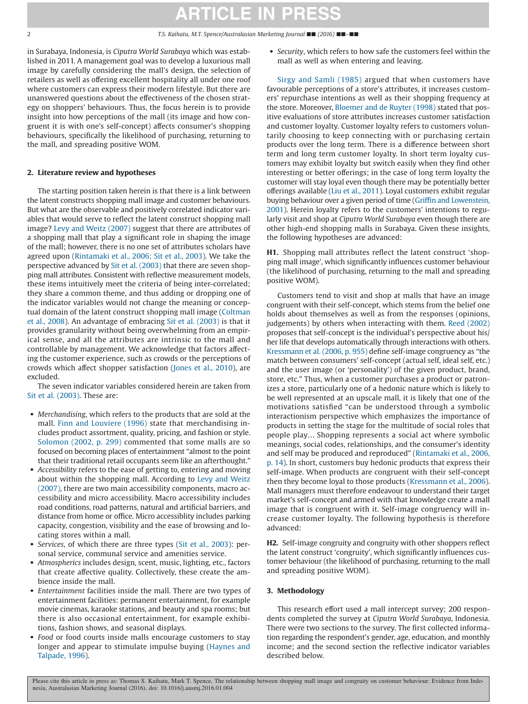# **ARTICLE IN PRESS**

2 *T.S. Kaihatu, M.T. Spence/Australasian Marketing Journal* ■■ *(2016)* ■■*–*■■

in Surabaya, Indonesia, is *Ciputra World Surabaya* which was established in 2011. A management goal was to develop a luxurious mall image by carefully considering the mall's design, the selection of retailers as well as offering excellent hospitality all under one roof where customers can express their modern lifestyle. But there are unanswered questions about the effectiveness of the chosen strategy on shoppers' behaviours. Thus, the focus herein is to provide insight into how perceptions of the mall (its image and how congruent it is with one's self-concept) affects consumer's shopping behaviours, specifically the likelihood of purchasing, returning to the mall, and spreading positive WOM.

#### **2. Literature review and hypotheses**

The starting position taken herein is that there is a link between the latent constructs shopping mall image and customer behaviours. But what are the observable and positively correlated indicator variables that would serve to reflect the latent construct shopping mall image? [Levy and Weitz \(2007\)](#page-3-5) suggest that there are attributes of a shopping mall that play a significant role in shaping the image of the mall; however, there is no one set of attributes scholars have agreed upon [\(Rintamaki et al., 2006; Sit et al., 2003\)](#page-3-2). We take the perspective advanced by [Sit et al. \(2003\)](#page-3-3) that there are seven shopping mall attributes. Consistent with reflective measurement models, these items intuitively meet the criteria of being inter-correlated; they share a common theme, and thus adding or dropping one of the indicator variables would not change the meaning or conceptual domain of the latent construct shopping mall image [\(Coltman](#page-3-6) [et al., 2008\)](#page-3-6). An advantage of embracing [Sit et al. \(2003\)](#page-3-3) is that it provides granularity without being overwhelming from an empirical sense, and all the attributes are intrinsic to the mall and controllable by management. We acknowledge that factors affecting the customer experience, such as crowds or the perceptions of crowds which affect shopper satisfaction [\(Jones et al., 2010\)](#page-3-7), are excluded.

The seven indicator variables considered herein are taken from [Sit et al. \(2003\).](#page-3-3) These are:

- *Merchandising*, which refers to the products that are sold at the mall. [Finn and Louviere \(1996\)](#page-3-8) state that merchandising includes product assortment, quality, pricing, and fashion or style. [Solomon \(2002, p. 299\)](#page-3-1) commented that some malls are so focused on becoming places of entertainment "almost to the point that their traditional retail occupants seem like an afterthought."
- *Accessibility* refers to the ease of getting to, entering and moving about within the shopping mall. According to [Levy and Weitz](#page-3-5) [\(2007\),](#page-3-5) there are two main accessibility components, macro accessibility and micro accessibility. Macro accessibility includes road conditions, road patterns, natural and artificial barriers, and distance from home or office. Micro accessiblity includes parking capacity, congestion, visibility and the ease of browsing and locating stores within a mall.
- *Services*, of which there are three types [\(Sit et al., 2003\)](#page-3-3): personal service, communal service and amenities service.
- *Atmospherics* includes design, scent, music, lighting, etc., factors that create affective quality. Collectively, these create the ambience inside the mall.
- *Entertainment* facilities inside the mall. There are two types of entertainment facilities: permanent entertainment, for example movie cinemas, karaoke stations, and beauty and spa rooms; but there is also occasional entertainment, for example exhibitions, fashion shows, and seasonal displays.
- *Food* or food courts inside malls encourage customers to stay longer and appear to stimulate impulse buying [\(Haynes and](#page-3-9) [Talpade, 1996\)](#page-3-9).

• *Security*, which refers to how safe the customers feel within the mall as well as when entering and leaving.

[Sirgy and Samli \(1985\)](#page-3-10) argued that when customers have favourable perceptions of a store's attributes, it increases customers' repurchase intentions as well as their shopping frequency at the store. Moreover, [Bloemer and de Ruyter \(1998\)](#page-3-11) stated that positive evaluations of store attributes increases customer satisfaction and customer loyalty. Customer loyalty refers to customers voluntarily choosing to keep connecting with or purchasing certain products over the long term. There is a difference between short term and long term customer loyalty. In short term loyalty customers may exhibit loyalty but switch easily when they find other interesting or better offerings; in the case of long term loyalty the customer will stay loyal even though there may be potentially better offerings available [\(Liu et al., 2011\)](#page-3-12). Loyal customers exhibit regular buying behaviour over a given period of time [\(Griffin and Lowenstein,](#page-3-13) [2001\)](#page-3-13). Herein loyalty refers to the customers' intentions to regularly visit and shop at *Ciputra World Surabaya* even though there are other high-end shopping malls in Surabaya. Given these insights, the following hypotheses are advanced:

**H1.** Shopping mall attributes reflect the latent construct 'shopping mall image', which significantly influences customer behaviour (the likelihood of purchasing, returning to the mall and spreading positive WOM).

Customers tend to visit and shop at malls that have an image congruent with their self-concept, which stems from the belief one holds about themselves as well as from the responses (opinions, judgements) by others when interacting with them. [Reed \(2002\)](#page-3-14) proposes that self-concept is the individual's perspective about his/ her life that develops automatically through interactions with others. [Kressmann et al. \(2006, p. 955\)](#page-3-4) define self-image congruency as "the match between consumers' self-concept (actual self, ideal self, etc.) and the user image (or 'personality') of the given product, brand, store, etc." Thus, when a customer purchases a product or patronizes a store, particularly one of a hedonic nature which is likely to be well represented at an upscale mall, it is likely that one of the motivations satisfied "can be understood through a symbolic interactionism perspective which emphasizes the importance of products in setting the stage for the multitude of social roles that people play… Shopping represents a social act where symbolic meanings, social codes, relationships, and the consumer's identity and self may be produced and reproduced" [\(Rintamaki et al., 2006,](#page-3-2) [p. 14\)](#page-3-2). In short, customers buy hedonic products that express their self-image. When products are congruent with their self-concept then they become loyal to those products [\(Kressmann et al., 2006\)](#page-3-4). Mall managers must therefore endeavour to understand their target market's self-concept and armed with that knowledge create a mall image that is congruent with it. Self-image congruency will increase customer loyalty. The following hypothesis is therefore advanced:

**H2.** Self-image congruity and congruity with other shoppers reflect the latent construct 'congruity', which significantly influences customer behaviour (the likelihood of purchasing, returning to the mall and spreading positive WOM).

#### **3. Methodology**

This research effort used a mall intercept survey; 200 respondents completed the survey at *Ciputra World Surabaya*, Indonesia. There were two sections to the survey. The first collected information regarding the respondent's gender, age, education, and monthly income; and the second section the reflective indicator variables described below.

Please cite this article in press as: Thomas S. Kaihatu, Mark T. Spence, The relationship between shopping mall image and congruity on customer behaviour: Evidence from Indonesia, Australasian Marketing Journal (2016), doi: 10.1016/j.ausmj.2016.01.004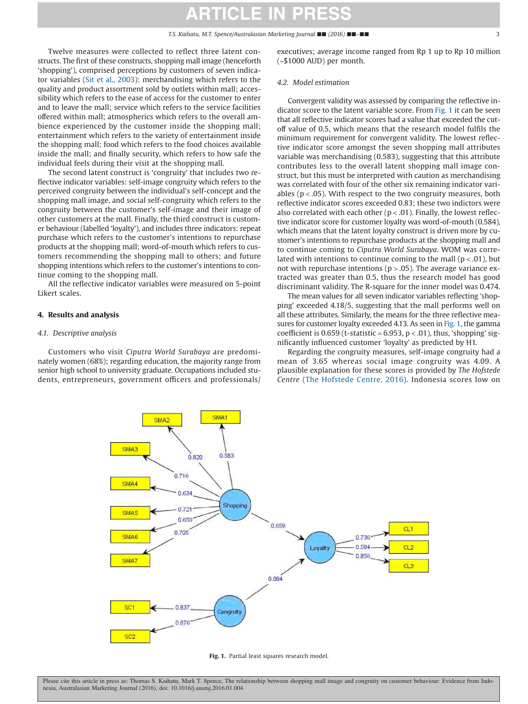## **ARTICLE IN PRESS**

<span id="page-2-0"></span>Twelve measures were collected to reflect three latent constructs. The first of these constructs, shopping mall image (henceforth 'shopping'), comprised perceptions by customers of seven indicator variables [\(Sit et al., 2003\)](#page-3-3): merchandising which refers to the quality and product assortment sold by outlets within mall; accessibility which refers to the ease of access for the customer to enter and to leave the mall; service which refers to the service facilities offered within mall; atmospherics which refers to the overall ambience experienced by the customer inside the shopping mall; entertainment which refers to the variety of entertainment inside the shopping mall; food which refers to the food choices available inside the mall; and finally security, which refers to how safe the individual feels during their visit at the shopping mall.

The second latent construct is 'congruity' that includes two reflective indicator variables: self-image congruity which refers to the perceived congruity between the individual's self-concept and the shopping mall image, and social self-congruity which refers to the congruity between the customer's self-image and their image of other customers at the mall. Finally, the third construct is customer behaviour (labelled 'loyalty'), and includes three indicators: repeat purchase which refers to the customer's intentions to repurchase products at the shopping mall; word-of-mouth which refers to customers recommending the shopping mall to others; and future shopping intentions which refers to the customer's intentions to continue coming to the shopping mall.

All the reflective indicator variables were measured on 5-point Likert scales.

#### **4. Results and analysis**

#### *4.1. Descriptive analysis*

Customers who visit *Ciputra World Surabaya* are predominately women (68%); regarding education, the majority range from senior high school to university graduate. Occupations included students, entrepreneurs, government officers and professionals/

executives; average income ranged from Rp 1 up to Rp 10 million (~\$1000 AUD) per month.

#### *4.2. Model estimation*

Convergent validity was assessed by comparing the reflective indicator score to the latent variable score. From Fig. 1 it can be seen that all reflective indicator scores had a value that exceeded the cutoff value of 0.5, which means that the research model fulfils the minimum requirement for convergent validity. The lowest reflective indicator score amongst the seven shopping mall attributes variable was merchandising (0.583), suggesting that this attribute contributes less to the overall latent shopping mall image construct, but this must be interpreted with caution as merchandising was correlated with four of the other six remaining indicator variables ( $p < .05$ ). With respect to the two congruity measures, both reflective indicator scores exceeded 0.83; these two indictors were also correlated with each other ( $p < .01$ ). Finally, the lowest reflective indicator score for customer loyalty was word-of-mouth (0.584), which means that the latent loyalty construct is driven more by customer's intentions to repurchase products at the shopping mall and to continue coming to *Ciputra World Surabaya*. WOM was correlated with intentions to continue coming to the mall ( $p < .01$ ), but not with repurchase intentions ( $p > .05$ ). The average variance extracted was greater than 0.5, thus the research model has good discriminant validity. The R-square for the inner model was 0.474.

The mean values for all seven indicator variables reflecting 'shopping' exceeded 4.18/5, suggesting that the mall performs well on all these attributes. Similarly, the means for the three reflective measures for customer loyalty exceeded 4.13. As seen in Fig. 1, the gamma coefficient is  $0.659$  (t-statistic = 6.953, p < .01), thus, 'shopping' significantly influenced customer 'loyalty' as predicted by H1.

Regarding the congruity measures, self-image congruity had a mean of 3.65 whereas social image congruity was 4.09. A plausible explanation for these scores is provided by *The Hofstede Centre* [\(The Hofstede Centre, 2016\)](#page-3-15). Indonesia scores low on



**Fig. 1.** Partial least squares research model.